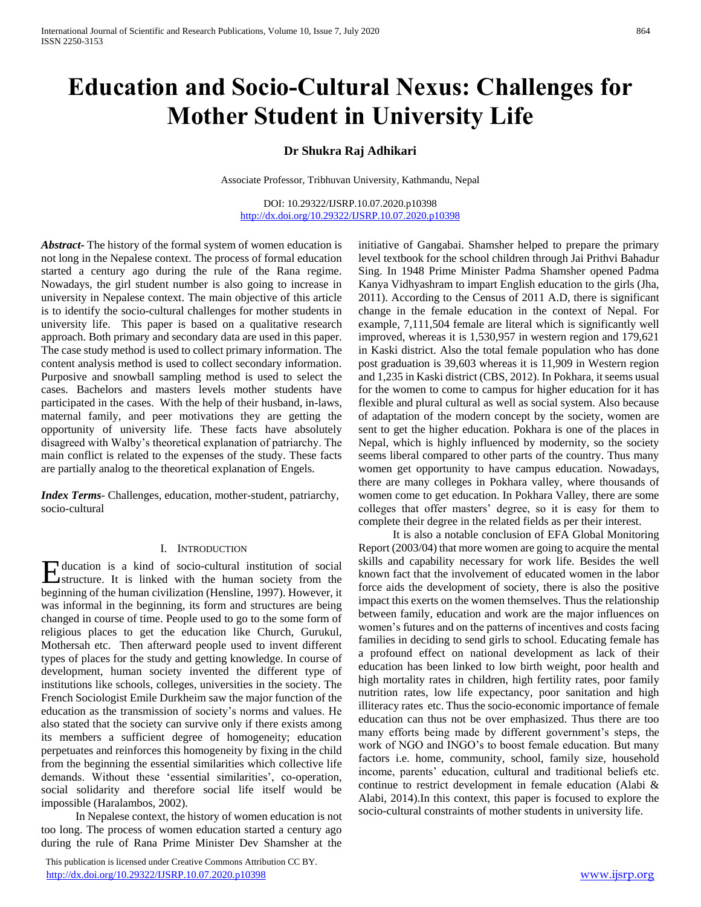# **Education and Socio-Cultural Nexus: Challenges for Mother Student in University Life**

# **Dr Shukra Raj Adhikari**

Associate Professor, Tribhuvan University, Kathmandu, Nepal

DOI: 10.29322/IJSRP.10.07.2020.p10398 <http://dx.doi.org/10.29322/IJSRP.10.07.2020.p10398>

*Abstract***-** The history of the formal system of women education is not long in the Nepalese context. The process of formal education started a century ago during the rule of the Rana regime. Nowadays, the girl student number is also going to increase in university in Nepalese context. The main objective of this article is to identify the socio-cultural challenges for mother students in university life. This paper is based on a qualitative research approach. Both primary and secondary data are used in this paper. The case study method is used to collect primary information. The content analysis method is used to collect secondary information. Purposive and snowball sampling method is used to select the cases. Bachelors and masters levels mother students have participated in the cases. With the help of their husband, in-laws, maternal family, and peer motivations they are getting the opportunity of university life. These facts have absolutely disagreed with Walby's theoretical explanation of patriarchy. The main conflict is related to the expenses of the study. These facts are partially analog to the theoretical explanation of Engels.

*Index Terms*- Challenges, education, mother-student, patriarchy, socio-cultural

#### I. INTRODUCTION

ducation is a kind of socio-cultural institution of social Education is a kind of socio-cultural institution of social structure. It is linked with the human society from the beginning of the human civilization (Hensline, 1997). However, it was informal in the beginning, its form and structures are being changed in course of time. People used to go to the some form of religious places to get the education like Church, Gurukul, Mothersah etc. Then afterward people used to invent different types of places for the study and getting knowledge. In course of development, human society invented the different type of institutions like schools, colleges, universities in the society. The French Sociologist Emile Durkheim saw the major function of the education as the transmission of society's norms and values. He also stated that the society can survive only if there exists among its members a sufficient degree of homogeneity; education perpetuates and reinforces this homogeneity by fixing in the child from the beginning the essential similarities which collective life demands. Without these 'essential similarities', co-operation, social solidarity and therefore social life itself would be impossible (Haralambos, 2002).

 In Nepalese context, the history of women education is not too long. The process of women education started a century ago during the rule of Rana Prime Minister Dev Shamsher at the

 This publication is licensed under Creative Commons Attribution CC BY. <http://dx.doi.org/10.29322/IJSRP.10.07.2020.p10398> [www.ijsrp.org](http://ijsrp.org/)

initiative of Gangabai. Shamsher helped to prepare the primary level textbook for the school children through Jai Prithvi Bahadur Sing. In 1948 Prime Minister Padma Shamsher opened Padma Kanya Vidhyashram to impart English education to the girls (Jha, 2011). According to the Census of 2011 A.D, there is significant change in the female education in the context of Nepal. For example, 7,111,504 female are literal which is significantly well improved, whereas it is 1,530,957 in western region and 179,621 in Kaski district. Also the total female population who has done post graduation is 39,603 whereas it is 11,909 in Western region and 1,235 in Kaski district (CBS, 2012). In Pokhara, it seems usual for the women to come to campus for higher education for it has flexible and plural cultural as well as social system. Also because of adaptation of the modern concept by the society, women are sent to get the higher education. Pokhara is one of the places in Nepal, which is highly influenced by modernity, so the society seems liberal compared to other parts of the country. Thus many women get opportunity to have campus education. Nowadays, there are many colleges in Pokhara valley, where thousands of women come to get education. In Pokhara Valley, there are some colleges that offer masters' degree, so it is easy for them to complete their degree in the related fields as per their interest.

 It is also a notable conclusion of EFA Global Monitoring Report (2003/04) that more women are going to acquire the mental skills and capability necessary for work life. Besides the well known fact that the involvement of educated women in the labor force aids the development of society, there is also the positive impact this exerts on the women themselves. Thus the relationship between family, education and work are the major influences on women's futures and on the patterns of incentives and costs facing families in deciding to send girls to school. Educating female has a profound effect on national development as lack of their education has been linked to low birth weight, poor health and high mortality rates in children, high fertility rates, poor family nutrition rates, low life expectancy, poor sanitation and high illiteracy rates etc. Thus the socio-economic importance of female education can thus not be over emphasized. Thus there are too many efforts being made by different government's steps, the work of NGO and INGO's to boost female education. But many factors i.e. home, community, school, family size, household income, parents' education, cultural and traditional beliefs etc. continue to restrict development in female education (Alabi & Alabi, 2014).In this context, this paper is focused to explore the socio-cultural constraints of mother students in university life.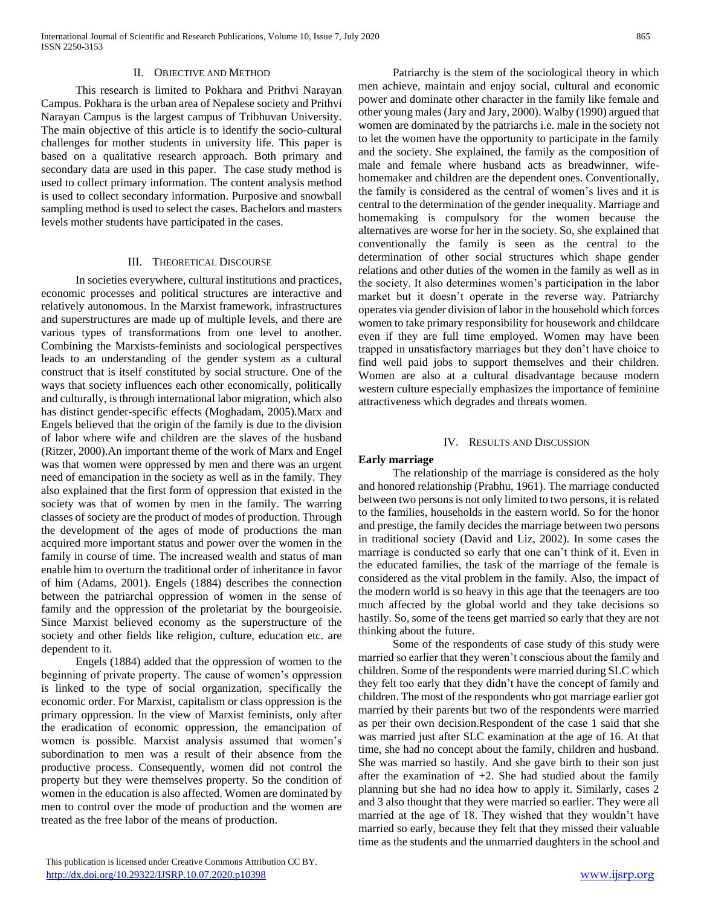#### II. OBJECTIVE AND METHOD

 This research is limited to Pokhara and Prithvi Narayan Campus. Pokhara is the urban area of Nepalese society and Prithvi Narayan Campus is the largest campus of Tribhuvan University. The main objective of this article is to identify the socio-cultural challenges for mother students in university life. This paper is based on a qualitative research approach. Both primary and secondary data are used in this paper. The case study method is used to collect primary information. The content analysis method is used to collect secondary information. Purposive and snowball sampling method is used to select the cases. Bachelors and masters levels mother students have participated in the cases.

#### III. THEORETICAL DISCOURSE

 In societies everywhere, cultural institutions and practices, economic processes and political structures are interactive and relatively autonomous. In the Marxist framework, infrastructures and superstructures are made up of multiple levels, and there are various types of transformations from one level to another. Combining the Marxists-feminists and sociological perspectives leads to an understanding of the gender system as a cultural construct that is itself constituted by social structure. One of the ways that society influences each other economically, politically and culturally, is through international labor migration, which also has distinct gender-specific effects (Moghadam, 2005).Marx and Engels believed that the origin of the family is due to the division of labor where wife and children are the slaves of the husband (Ritzer, 2000).An important theme of the work of Marx and Engel was that women were oppressed by men and there was an urgent need of emancipation in the society as well as in the family. They also explained that the first form of oppression that existed in the society was that of women by men in the family. The warring classes of society are the product of modes of production. Through the development of the ages of mode of productions the man acquired more important status and power over the women in the family in course of time. The increased wealth and status of man enable him to overturn the traditional order of inheritance in favor of him (Adams, 2001). Engels (1884) describes the connection between the patriarchal oppression of women in the sense of family and the oppression of the proletariat by the bourgeoisie. Since Marxist believed economy as the superstructure of the society and other fields like religion, culture, education etc. are dependent to it.

 Engels (1884) added that the oppression of women to the beginning of private property. The cause of women's oppression is linked to the type of social organization, specifically the economic order. For Marxist, capitalism or class oppression is the primary oppression. In the view of Marxist feminists, only after the eradication of economic oppression, the emancipation of women is possible. Marxist analysis assumed that women's subordination to men was a result of their absence from the productive process. Consequently, women did not control the property but they were themselves property. So the condition of women in the education is also affected. Women are dominated by men to control over the mode of production and the women are treated as the free labor of the means of production.

 Patriarchy is the stem of the sociological theory in which men achieve, maintain and enjoy social, cultural and economic power and dominate other character in the family like female and other young males (Jary and Jary, 2000). Walby (1990) argued that women are dominated by the patriarchs i.e. male in the society not to let the women have the opportunity to participate in the family and the society. She explained, the family as the composition of male and female where husband acts as breadwinner, wifehomemaker and children are the dependent ones. Conventionally, the family is considered as the central of women's lives and it is central to the determination of the gender inequality. Marriage and homemaking is compulsory for the women because the alternatives are worse for her in the society. So, she explained that conventionally the family is seen as the central to the determination of other social structures which shape gender relations and other duties of the women in the family as well as in the society. It also determines women's participation in the labor market but it doesn't operate in the reverse way. Patriarchy operates via gender division of labor in the household which forces women to take primary responsibility for housework and childcare even if they are full time employed. Women may have been trapped in unsatisfactory marriages but they don't have choice to find well paid jobs to support themselves and their children. Women are also at a cultural disadvantage because modern western culture especially emphasizes the importance of feminine attractiveness which degrades and threats women.

#### IV. RESULTS AND DISCUSSION

### **Early marriage**

 The relationship of the marriage is considered as the holy and honored relationship (Prabhu, 1961). The marriage conducted between two persons is not only limited to two persons, it is related to the families, households in the eastern world. So for the honor and prestige, the family decides the marriage between two persons in traditional society (David and Liz, 2002). In some cases the marriage is conducted so early that one can't think of it. Even in the educated families, the task of the marriage of the female is considered as the vital problem in the family. Also, the impact of the modern world is so heavy in this age that the teenagers are too much affected by the global world and they take decisions so hastily. So, some of the teens get married so early that they are not thinking about the future.

 Some of the respondents of case study of this study were married so earlier that they weren't conscious about the family and children. Some of the respondents were married during SLC which they felt too early that they didn't have the concept of family and children. The most of the respondents who got marriage earlier got married by their parents but two of the respondents were married as per their own decision.Respondent of the case 1 said that she was married just after SLC examination at the age of 16. At that time, she had no concept about the family, children and husband. She was married so hastily. And she gave birth to their son just after the examination of  $+2$ . She had studied about the family planning but she had no idea how to apply it. Similarly, cases 2 and 3 also thought that they were married so earlier. They were all married at the age of 18. They wished that they wouldn't have married so early, because they felt that they missed their valuable time as the students and the unmarried daughters in the school and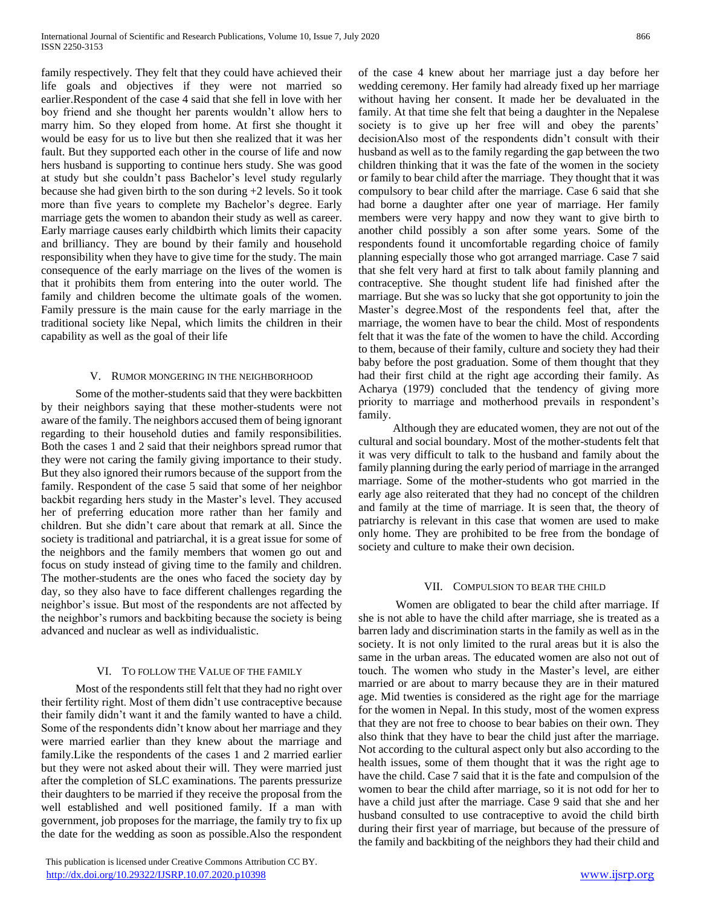family respectively. They felt that they could have achieved their life goals and objectives if they were not married so earlier.Respondent of the case 4 said that she fell in love with her boy friend and she thought her parents wouldn't allow hers to marry him. So they eloped from home. At first she thought it would be easy for us to live but then she realized that it was her fault. But they supported each other in the course of life and now hers husband is supporting to continue hers study. She was good at study but she couldn't pass Bachelor's level study regularly because she had given birth to the son during +2 levels. So it took more than five years to complete my Bachelor's degree. Early marriage gets the women to abandon their study as well as career. Early marriage causes early childbirth which limits their capacity and brilliancy. They are bound by their family and household responsibility when they have to give time for the study. The main consequence of the early marriage on the lives of the women is that it prohibits them from entering into the outer world. The family and children become the ultimate goals of the women. Family pressure is the main cause for the early marriage in the traditional society like Nepal, which limits the children in their capability as well as the goal of their life

### V. RUMOR MONGERING IN THE NEIGHBORHOOD

 Some of the mother-students said that they were backbitten by their neighbors saying that these mother-students were not aware of the family. The neighbors accused them of being ignorant regarding to their household duties and family responsibilities. Both the cases 1 and 2 said that their neighbors spread rumor that they were not caring the family giving importance to their study. But they also ignored their rumors because of the support from the family. Respondent of the case 5 said that some of her neighbor backbit regarding hers study in the Master's level. They accused her of preferring education more rather than her family and children. But she didn't care about that remark at all. Since the society is traditional and patriarchal, it is a great issue for some of the neighbors and the family members that women go out and focus on study instead of giving time to the family and children. The mother-students are the ones who faced the society day by day, so they also have to face different challenges regarding the neighbor's issue. But most of the respondents are not affected by the neighbor's rumors and backbiting because the society is being advanced and nuclear as well as individualistic.

### VI. TO FOLLOW THE VALUE OF THE FAMILY

 Most of the respondents still felt that they had no right over their fertility right. Most of them didn't use contraceptive because their family didn't want it and the family wanted to have a child. Some of the respondents didn't know about her marriage and they were married earlier than they knew about the marriage and family.Like the respondents of the cases 1 and 2 married earlier but they were not asked about their will. They were married just after the completion of SLC examinations. The parents pressurize their daughters to be married if they receive the proposal from the well established and well positioned family. If a man with government, job proposes for the marriage, the family try to fix up the date for the wedding as soon as possible.Also the respondent

 This publication is licensed under Creative Commons Attribution CC BY. http://dx.doi<u>.org/10.29322/IJSRP.10.07.2020.p10398</u> [www.ijsrp.org](http://ijsrp.org/)

of the case 4 knew about her marriage just a day before her wedding ceremony. Her family had already fixed up her marriage without having her consent. It made her be devaluated in the family. At that time she felt that being a daughter in the Nepalese society is to give up her free will and obey the parents' decisionAlso most of the respondents didn't consult with their husband as well as to the family regarding the gap between the two children thinking that it was the fate of the women in the society or family to bear child after the marriage. They thought that it was compulsory to bear child after the marriage. Case 6 said that she had borne a daughter after one year of marriage. Her family members were very happy and now they want to give birth to another child possibly a son after some years. Some of the respondents found it uncomfortable regarding choice of family planning especially those who got arranged marriage. Case 7 said that she felt very hard at first to talk about family planning and contraceptive. She thought student life had finished after the marriage. But she was so lucky that she got opportunity to join the Master's degree.Most of the respondents feel that, after the marriage, the women have to bear the child. Most of respondents felt that it was the fate of the women to have the child. According to them, because of their family, culture and society they had their baby before the post graduation. Some of them thought that they had their first child at the right age according their family. As Acharya (1979) concluded that the tendency of giving more priority to marriage and motherhood prevails in respondent's family.

 Although they are educated women, they are not out of the cultural and social boundary. Most of the mother-students felt that it was very difficult to talk to the husband and family about the family planning during the early period of marriage in the arranged marriage. Some of the mother-students who got married in the early age also reiterated that they had no concept of the children and family at the time of marriage. It is seen that, the theory of patriarchy is relevant in this case that women are used to make only home. They are prohibited to be free from the bondage of society and culture to make their own decision.

#### VII. COMPULSION TO BEAR THE CHILD

 Women are obligated to bear the child after marriage. If she is not able to have the child after marriage, she is treated as a barren lady and discrimination starts in the family as well as in the society. It is not only limited to the rural areas but it is also the same in the urban areas. The educated women are also not out of touch. The women who study in the Master's level, are either married or are about to marry because they are in their matured age. Mid twenties is considered as the right age for the marriage for the women in Nepal. In this study, most of the women express that they are not free to choose to bear babies on their own. They also think that they have to bear the child just after the marriage. Not according to the cultural aspect only but also according to the health issues, some of them thought that it was the right age to have the child. Case 7 said that it is the fate and compulsion of the women to bear the child after marriage, so it is not odd for her to have a child just after the marriage. Case 9 said that she and her husband consulted to use contraceptive to avoid the child birth during their first year of marriage, but because of the pressure of the family and backbiting of the neighbors they had their child and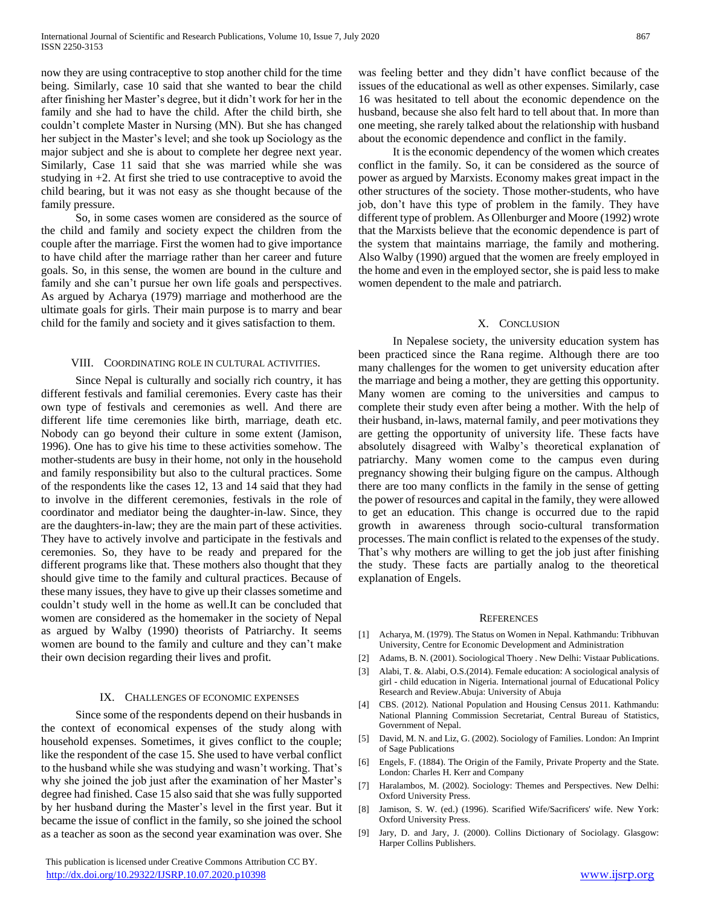now they are using contraceptive to stop another child for the time being. Similarly, case 10 said that she wanted to bear the child after finishing her Master's degree, but it didn't work for her in the family and she had to have the child. After the child birth, she couldn't complete Master in Nursing (MN). But she has changed her subject in the Master's level; and she took up Sociology as the major subject and she is about to complete her degree next year. Similarly, Case 11 said that she was married while she was studying in  $+2$ . At first she tried to use contraceptive to avoid the child bearing, but it was not easy as she thought because of the family pressure.

 So, in some cases women are considered as the source of the child and family and society expect the children from the couple after the marriage. First the women had to give importance to have child after the marriage rather than her career and future goals. So, in this sense, the women are bound in the culture and family and she can't pursue her own life goals and perspectives. As argued by Acharya (1979) marriage and motherhood are the ultimate goals for girls. Their main purpose is to marry and bear child for the family and society and it gives satisfaction to them.

#### VIII. COORDINATING ROLE IN CULTURAL ACTIVITIES.

 Since Nepal is culturally and socially rich country, it has different festivals and familial ceremonies. Every caste has their own type of festivals and ceremonies as well. And there are different life time ceremonies like birth, marriage, death etc. Nobody can go beyond their culture in some extent (Jamison, 1996). One has to give his time to these activities somehow. The mother-students are busy in their home, not only in the household and family responsibility but also to the cultural practices. Some of the respondents like the cases 12, 13 and 14 said that they had to involve in the different ceremonies, festivals in the role of coordinator and mediator being the daughter-in-law. Since, they are the daughters-in-law; they are the main part of these activities. They have to actively involve and participate in the festivals and ceremonies. So, they have to be ready and prepared for the different programs like that. These mothers also thought that they should give time to the family and cultural practices. Because of these many issues, they have to give up their classes sometime and couldn't study well in the home as well.It can be concluded that women are considered as the homemaker in the society of Nepal as argued by Walby (1990) theorists of Patriarchy. It seems women are bound to the family and culture and they can't make their own decision regarding their lives and profit.

#### IX. CHALLENGES OF ECONOMIC EXPENSES

 Since some of the respondents depend on their husbands in the context of economical expenses of the study along with household expenses. Sometimes, it gives conflict to the couple; like the respondent of the case 15. She used to have verbal conflict to the husband while she was studying and wasn't working. That's why she joined the job just after the examination of her Master's degree had finished. Case 15 also said that she was fully supported by her husband during the Master's level in the first year. But it became the issue of conflict in the family, so she joined the school as a teacher as soon as the second year examination was over. She was feeling better and they didn't have conflict because of the issues of the educational as well as other expenses. Similarly, case 16 was hesitated to tell about the economic dependence on the husband, because she also felt hard to tell about that. In more than one meeting, she rarely talked about the relationship with husband about the economic dependence and conflict in the family.

 It is the economic dependency of the women which creates conflict in the family. So, it can be considered as the source of power as argued by Marxists. Economy makes great impact in the other structures of the society. Those mother-students, who have job, don't have this type of problem in the family. They have different type of problem. As Ollenburger and Moore (1992) wrote that the Marxists believe that the economic dependence is part of the system that maintains marriage, the family and mothering. Also Walby (1990) argued that the women are freely employed in the home and even in the employed sector, she is paid less to make women dependent to the male and patriarch.

#### X. CONCLUSION

 In Nepalese society, the university education system has been practiced since the Rana regime. Although there are too many challenges for the women to get university education after the marriage and being a mother, they are getting this opportunity. Many women are coming to the universities and campus to complete their study even after being a mother. With the help of their husband, in-laws, maternal family, and peer motivations they are getting the opportunity of university life. These facts have absolutely disagreed with Walby's theoretical explanation of patriarchy. Many women come to the campus even during pregnancy showing their bulging figure on the campus. Although there are too many conflicts in the family in the sense of getting the power of resources and capital in the family, they were allowed to get an education. This change is occurred due to the rapid growth in awareness through socio-cultural transformation processes. The main conflict is related to the expenses of the study. That's why mothers are willing to get the job just after finishing the study. These facts are partially analog to the theoretical explanation of Engels.

#### **REFERENCES**

- [1] Acharya, M. (1979). The Status on Women in Nepal. Kathmandu: Tribhuvan University, Centre for Economic Development and Administration
- [2] Adams, B. N. (2001). Sociological Thoery . New Delhi: Vistaar Publications.
- [3] Alabi, T. &. Alabi, O.S.(2014). Female education: A sociological analysis of girl - child education in Nigeria. International journal of Educational Policy Research and Review.Abuja: University of Abuja
- [4] CBS. (2012). National Population and Housing Census 2011. Kathmandu: National Planning Commission Secretariat, Central Bureau of Statistics, Government of Nepal.
- [5] David, M. N. and Liz, G. (2002). Sociology of Families. London: An Imprint of Sage Publications
- [6] Engels, F. (1884). The Origin of the Family, Private Property and the State. London: Charles H. Kerr and Company
- [7] Haralambos, M. (2002). Sociology: Themes and Perspectives. New Delhi: Oxford University Press.
- [8] Jamison, S. W. (ed.) (1996). Scarified Wife/Sacrificers' wife. New York: Oxford University Press.
- [9] Jary, D. and Jary, J. (2000). Collins Dictionary of Sociolagy. Glasgow: Harper Collins Publishers.